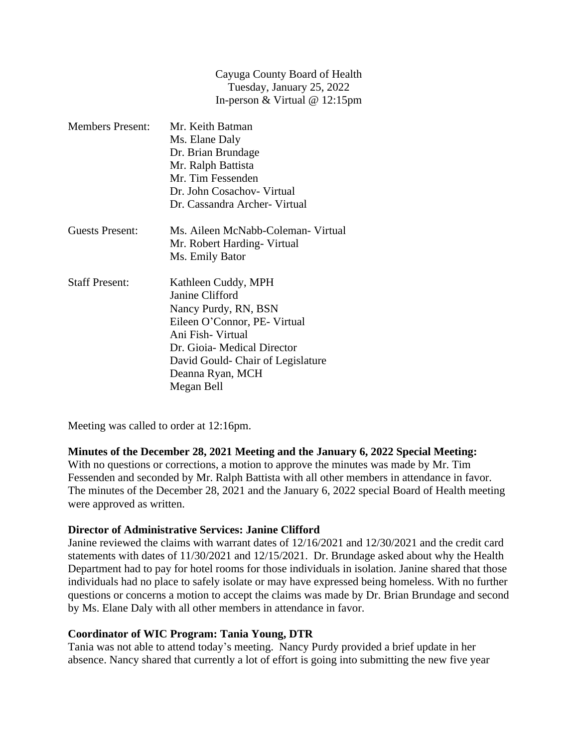Cayuga County Board of Health Tuesday, January 25, 2022 In-person & Virtual @ 12:15pm

| <b>Members Present:</b> | Mr. Keith Batman                   |
|-------------------------|------------------------------------|
|                         | Ms. Elane Daly                     |
|                         | Dr. Brian Brundage                 |
|                         | Mr. Ralph Battista                 |
|                         | Mr. Tim Fessenden                  |
|                         | Dr. John Cosachov - Virtual        |
|                         | Dr. Cassandra Archer- Virtual      |
| Guests Present:         | Ms. Aileen McNabb-Coleman- Virtual |
|                         | Mr. Robert Harding - Virtual       |
|                         | Ms. Emily Bator                    |
| <b>Staff Present:</b>   | Kathleen Cuddy, MPH                |
|                         | Janine Clifford                    |
|                         | Nancy Purdy, RN, BSN               |
|                         | Eileen O'Connor, PE- Virtual       |
|                         | Ani Fish- Virtual                  |
|                         | Dr. Gioia-Medical Director         |
|                         | David Gould- Chair of Legislature  |
|                         | Deanna Ryan, MCH                   |
|                         | Megan Bell                         |

Meeting was called to order at 12:16pm.

### **Minutes of the December 28, 2021 Meeting and the January 6, 2022 Special Meeting:**

With no questions or corrections, a motion to approve the minutes was made by Mr. Tim Fessenden and seconded by Mr. Ralph Battista with all other members in attendance in favor. The minutes of the December 28, 2021 and the January 6, 2022 special Board of Health meeting were approved as written.

#### **Director of Administrative Services: Janine Clifford**

Janine reviewed the claims with warrant dates of 12/16/2021 and 12/30/2021 and the credit card statements with dates of 11/30/2021 and 12/15/2021. Dr. Brundage asked about why the Health Department had to pay for hotel rooms for those individuals in isolation. Janine shared that those individuals had no place to safely isolate or may have expressed being homeless. With no further questions or concerns a motion to accept the claims was made by Dr. Brian Brundage and second by Ms. Elane Daly with all other members in attendance in favor.

#### **Coordinator of WIC Program: Tania Young, DTR**

Tania was not able to attend today's meeting. Nancy Purdy provided a brief update in her absence. Nancy shared that currently a lot of effort is going into submitting the new five year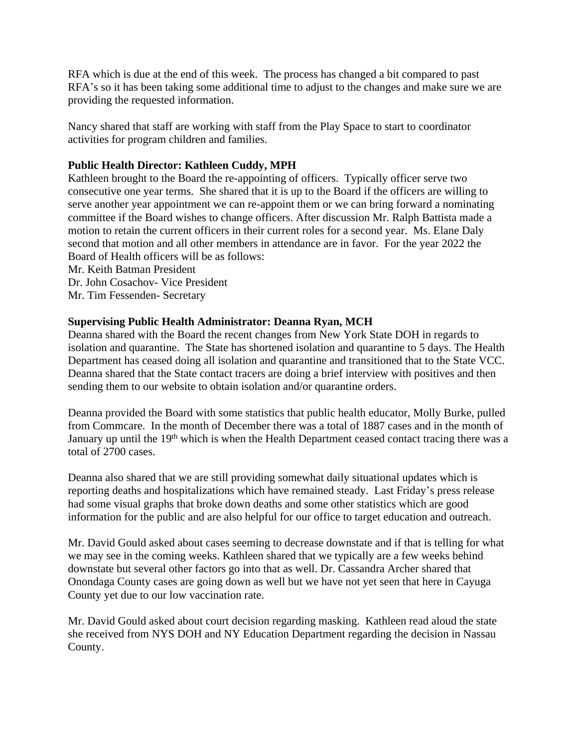RFA which is due at the end of this week. The process has changed a bit compared to past RFA's so it has been taking some additional time to adjust to the changes and make sure we are providing the requested information.

Nancy shared that staff are working with staff from the Play Space to start to coordinator activities for program children and families.

# **Public Health Director: Kathleen Cuddy, MPH**

Kathleen brought to the Board the re-appointing of officers. Typically officer serve two consecutive one year terms. She shared that it is up to the Board if the officers are willing to serve another year appointment we can re-appoint them or we can bring forward a nominating committee if the Board wishes to change officers. After discussion Mr. Ralph Battista made a motion to retain the current officers in their current roles for a second year. Ms. Elane Daly second that motion and all other members in attendance are in favor. For the year 2022 the Board of Health officers will be as follows:

Mr. Keith Batman President Dr. John Cosachov- Vice President Mr. Tim Fessenden- Secretary

# **Supervising Public Health Administrator: Deanna Ryan, MCH**

Deanna shared with the Board the recent changes from New York State DOH in regards to isolation and quarantine. The State has shortened isolation and quarantine to 5 days. The Health Department has ceased doing all isolation and quarantine and transitioned that to the State VCC. Deanna shared that the State contact tracers are doing a brief interview with positives and then sending them to our website to obtain isolation and/or quarantine orders.

Deanna provided the Board with some statistics that public health educator, Molly Burke, pulled from Commcare. In the month of December there was a total of 1887 cases and in the month of January up until the 19<sup>th</sup> which is when the Health Department ceased contact tracing there was a total of 2700 cases.

Deanna also shared that we are still providing somewhat daily situational updates which is reporting deaths and hospitalizations which have remained steady. Last Friday's press release had some visual graphs that broke down deaths and some other statistics which are good information for the public and are also helpful for our office to target education and outreach.

Mr. David Gould asked about cases seeming to decrease downstate and if that is telling for what we may see in the coming weeks. Kathleen shared that we typically are a few weeks behind downstate but several other factors go into that as well. Dr. Cassandra Archer shared that Onondaga County cases are going down as well but we have not yet seen that here in Cayuga County yet due to our low vaccination rate.

Mr. David Gould asked about court decision regarding masking. Kathleen read aloud the state she received from NYS DOH and NY Education Department regarding the decision in Nassau County.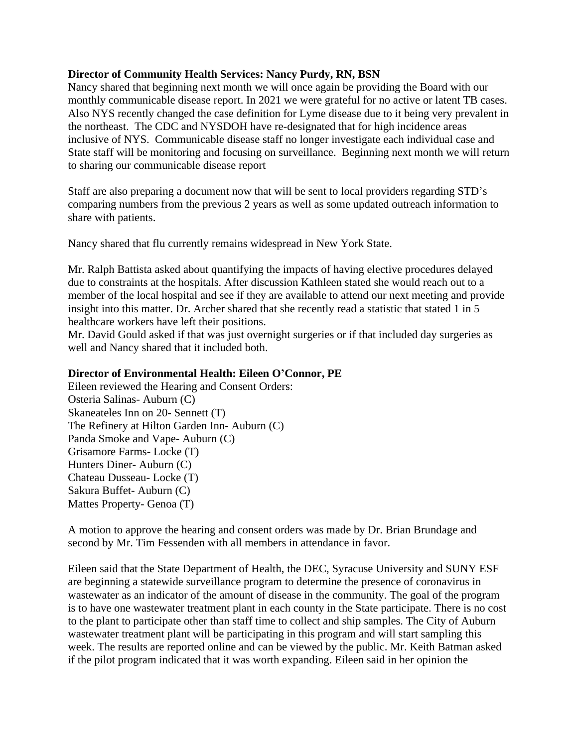### **Director of Community Health Services: Nancy Purdy, RN, BSN**

Nancy shared that beginning next month we will once again be providing the Board with our monthly communicable disease report. In 2021 we were grateful for no active or latent TB cases. Also NYS recently changed the case definition for Lyme disease due to it being very prevalent in the northeast. The CDC and NYSDOH have re-designated that for high incidence areas inclusive of NYS. Communicable disease staff no longer investigate each individual case and State staff will be monitoring and focusing on surveillance. Beginning next month we will return to sharing our communicable disease report

Staff are also preparing a document now that will be sent to local providers regarding STD's comparing numbers from the previous 2 years as well as some updated outreach information to share with patients.

Nancy shared that flu currently remains widespread in New York State.

Mr. Ralph Battista asked about quantifying the impacts of having elective procedures delayed due to constraints at the hospitals. After discussion Kathleen stated she would reach out to a member of the local hospital and see if they are available to attend our next meeting and provide insight into this matter. Dr. Archer shared that she recently read a statistic that stated 1 in 5 healthcare workers have left their positions.

Mr. David Gould asked if that was just overnight surgeries or if that included day surgeries as well and Nancy shared that it included both.

## **Director of Environmental Health: Eileen O'Connor, PE**

Eileen reviewed the Hearing and Consent Orders: Osteria Salinas- Auburn (C) Skaneateles Inn on 20- Sennett (T) The Refinery at Hilton Garden Inn- Auburn (C) Panda Smoke and Vape- Auburn (C) Grisamore Farms- Locke (T) Hunters Diner- Auburn (C) Chateau Dusseau- Locke (T) Sakura Buffet- Auburn (C) Mattes Property- Genoa (T)

A motion to approve the hearing and consent orders was made by Dr. Brian Brundage and second by Mr. Tim Fessenden with all members in attendance in favor.

Eileen said that the State Department of Health, the DEC, Syracuse University and SUNY ESF are beginning a statewide surveillance program to determine the presence of coronavirus in wastewater as an indicator of the amount of disease in the community. The goal of the program is to have one wastewater treatment plant in each county in the State participate. There is no cost to the plant to participate other than staff time to collect and ship samples. The City of Auburn wastewater treatment plant will be participating in this program and will start sampling this week. The results are reported online and can be viewed by the public. Mr. Keith Batman asked if the pilot program indicated that it was worth expanding. Eileen said in her opinion the